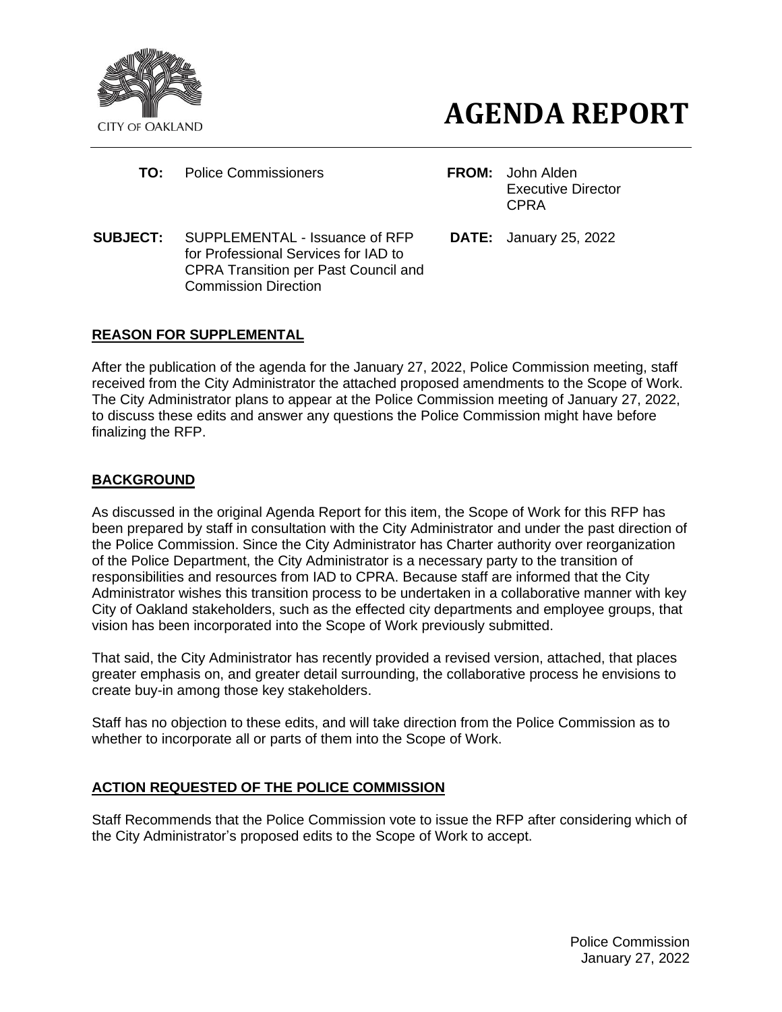



- **TO:** Police Commissioners **FROM:** John Alden
- Executive Director CPRA
- **SUBJECT:** SUPPLEMENTAL Issuance of RFP for Professional Services for IAD to CPRA Transition per Past Council and Commission Direction
- **DATE:** January 25, 2022

# **REASON FOR SUPPLEMENTAL**

After the publication of the agenda for the January 27, 2022, Police Commission meeting, staff received from the City Administrator the attached proposed amendments to the Scope of Work. The City Administrator plans to appear at the Police Commission meeting of January 27, 2022, to discuss these edits and answer any questions the Police Commission might have before finalizing the RFP.

# **BACKGROUND**

As discussed in the original Agenda Report for this item, the Scope of Work for this RFP has been prepared by staff in consultation with the City Administrator and under the past direction of the Police Commission. Since the City Administrator has Charter authority over reorganization of the Police Department, the City Administrator is a necessary party to the transition of responsibilities and resources from IAD to CPRA. Because staff are informed that the City Administrator wishes this transition process to be undertaken in a collaborative manner with key City of Oakland stakeholders, such as the effected city departments and employee groups, that vision has been incorporated into the Scope of Work previously submitted.

That said, the City Administrator has recently provided a revised version, attached, that places greater emphasis on, and greater detail surrounding, the collaborative process he envisions to create buy-in among those key stakeholders.

Staff has no objection to these edits, and will take direction from the Police Commission as to whether to incorporate all or parts of them into the Scope of Work.

# **ACTION REQUESTED OF THE POLICE COMMISSION**

Staff Recommends that the Police Commission vote to issue the RFP after considering which of the City Administrator's proposed edits to the Scope of Work to accept.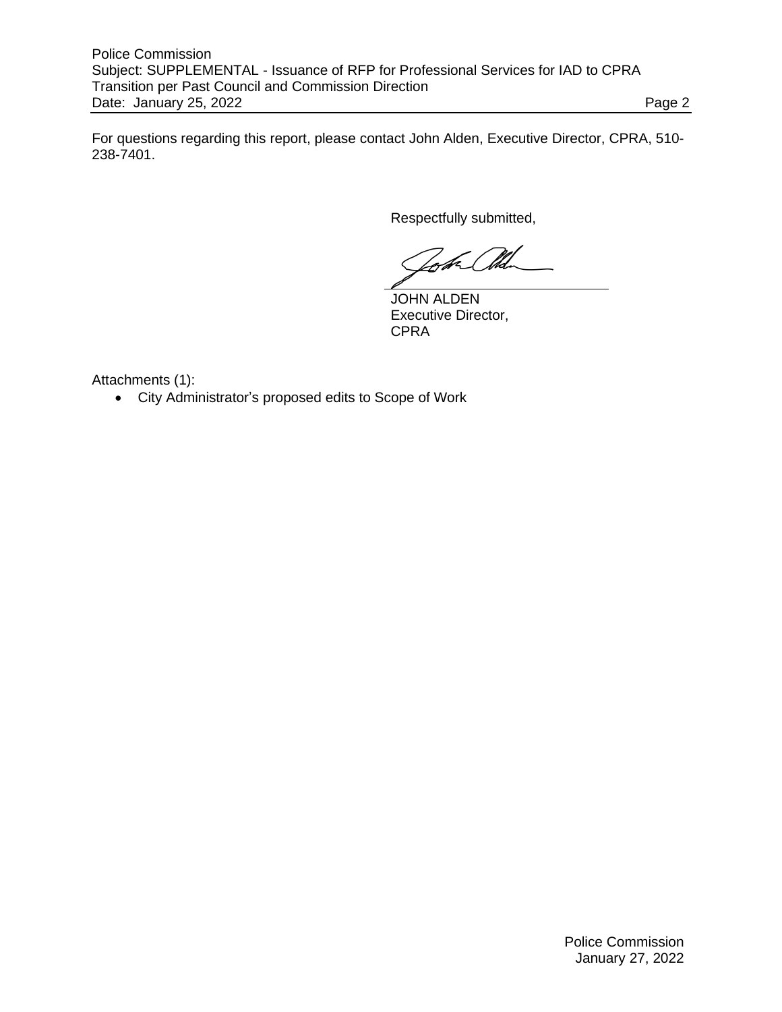For questions regarding this report, please contact John Alden, Executive Director, CPRA, 510- 238-7401.

Respectfully submitted,

JOHN ALDEN Executive Director, **CPRA** 

Attachments (1):

• City Administrator's proposed edits to Scope of Work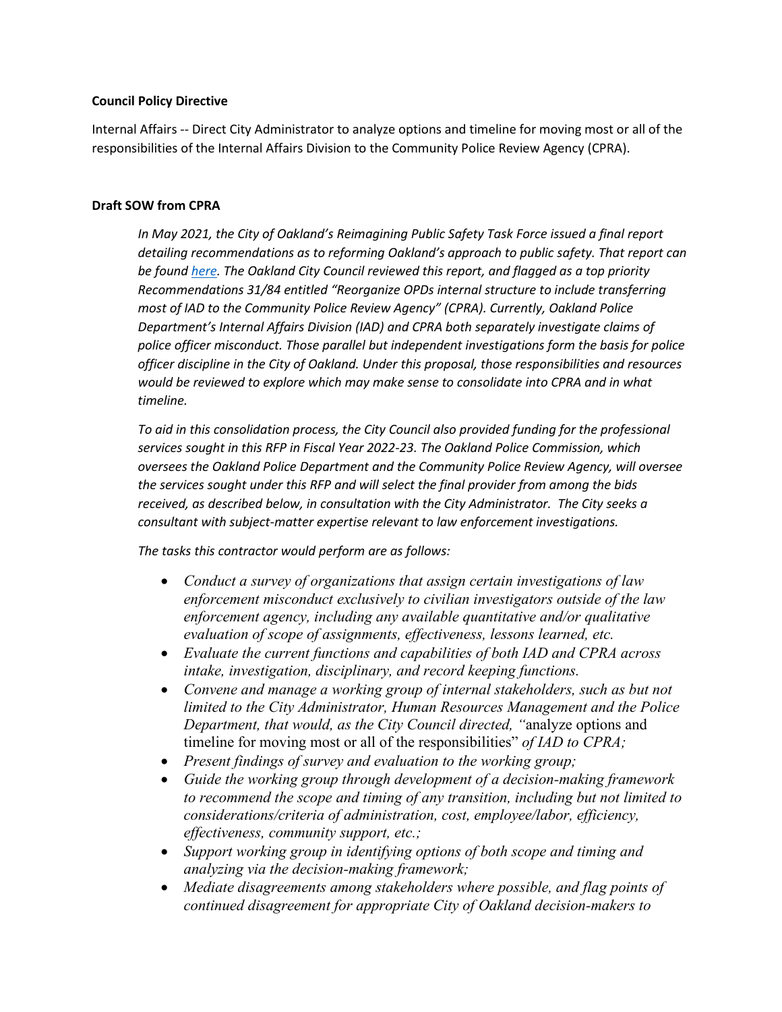### **Council Policy Directive**

Internal Affairs -- Direct City Administrator to analyze options and timeline for moving most or all of the responsibilities of the Internal Affairs Division to the Community Police Review Agency (CPRA).

### **Draft SOW from CPRA**

*In May 2021, the City of Oakland's Reimagining Public Safety Task Force issued a final report detailing recommendations as to reforming Oakland's approach to public safety. That report can be found [here.](https://www.oaklandca.gov/documents/reimagining-public-safety-task-force-final-report-and-recommendations) The Oakland City Council reviewed this report, and flagged as a top priority Recommendations 31/84 entitled "Reorganize OPDs internal structure to include transferring most of IAD to the Community Police Review Agency" (CPRA). Currently, Oakland Police Department's Internal Affairs Division (IAD) and CPRA both separately investigate claims of police officer misconduct. Those parallel but independent investigations form the basis for police officer discipline in the City of Oakland. Under this proposal, those responsibilities and resources would be reviewed to explore which may make sense to consolidate into CPRA and in what timeline.*

*To aid in this consolidation process, the City Council also provided funding for the professional services sought in this RFP in Fiscal Year 2022-23. The Oakland Police Commission, which oversees the Oakland Police Department and the Community Police Review Agency, will oversee the services sought under this RFP and will select the final provider from among the bids received, as described below, in consultation with the City Administrator. The City seeks a consultant with subject-matter expertise relevant to law enforcement investigations.*

*The tasks this contractor would perform are as follows:*

- *Conduct a survey of organizations that assign certain investigations of law enforcement misconduct exclusively to civilian investigators outside of the law enforcement agency, including any available quantitative and/or qualitative evaluation of scope of assignments, effectiveness, lessons learned, etc.*
- *Evaluate the current functions and capabilities of both IAD and CPRA across intake, investigation, disciplinary, and record keeping functions.*
- Convene and manage a working group of internal stakeholders, such as but not *limited to the City Administrator, Human Resources Management and the Police Department, that would, as the City Council directed, "*analyze options and timeline for moving most or all of the responsibilities" *of IAD to CPRA;*
- *Present findings of survey and evaluation to the working group;*
- *Guide the working group through development of a decision-making framework to recommend the scope and timing of any transition, including but not limited to considerations/criteria of administration, cost, employee/labor, efficiency, effectiveness, community support, etc.;*
- *Support working group in identifying options of both scope and timing and analyzing via the decision-making framework;*
- *Mediate disagreements among stakeholders where possible, and flag points of continued disagreement for appropriate City of Oakland decision-makers to*